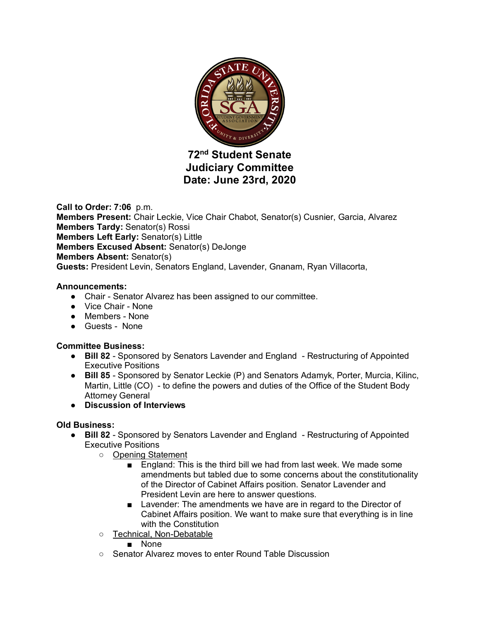

# **72nd Student Senate Judiciary Committee Date: June 23rd, 2020**

**Call to Order: 7:06** p.m. **Members Present:** Chair Leckie, Vice Chair Chabot, Senator(s) Cusnier, Garcia, Alvarez **Members Tardy:** Senator(s) Rossi **Members Left Early:** Senator(s) Little **Members Excused Absent:** Senator(s) DeJonge **Members Absent:** Senator(s) **Guests:** President Levin, Senators England, Lavender, Gnanam, Ryan Villacorta,

### **Announcements:**

- Chair Senator Alvarez has been assigned to our committee.
- Vice Chair None
- Members None
- Guests None

## **Committee Business:**

- **Bill 82** Sponsored by Senators Lavender and England Restructuring of Appointed Executive Positions
- **Bill 85** Sponsored by Senator Leckie (P) and Senators Adamyk, Porter, Murcia, Kilinc, Martin, Little (CO) - to define the powers and duties of the Office of the Student Body Attorney General
- **Discussion of Interviews**

# **Old Business:**

- **Bill 82** Sponsored by Senators Lavender and England Restructuring of Appointed Executive Positions
	- Opening Statement
		- England: This is the third bill we had from last week. We made some amendments but tabled due to some concerns about the constitutionality of the Director of Cabinet Affairs position. Senator Lavender and President Levin are here to answer questions.
		- Lavender: The amendments we have are in regard to the Director of Cabinet Affairs position. We want to make sure that everything is in line with the Constitution
	- Technical, Non-Debatable
		- None
	- Senator Alvarez moves to enter Round Table Discussion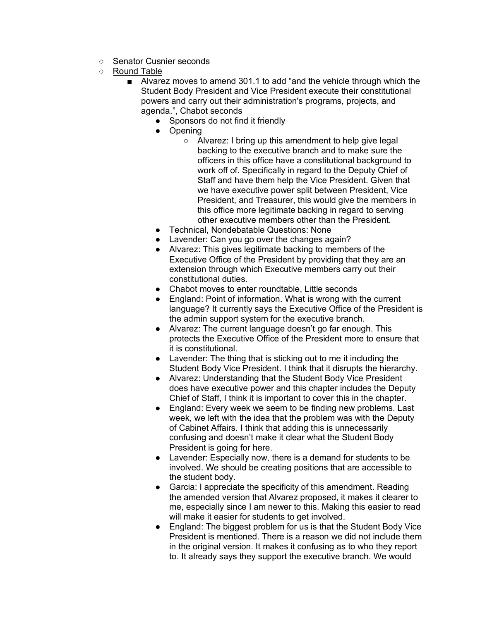- Senator Cusnier seconds
- Round Table
	- Alvarez moves to amend 301.1 to add "and the vehicle through which the Student Body President and Vice President execute their constitutional powers and carry out their administration's programs, projects, and agenda.", Chabot seconds
		- Sponsors do not find it friendly
		- Opening
			- Alvarez: I bring up this amendment to help give legal backing to the executive branch and to make sure the officers in this office have a constitutional background to work off of. Specifically in regard to the Deputy Chief of Staff and have them help the Vice President. Given that we have executive power split between President, Vice President, and Treasurer, this would give the members in this office more legitimate backing in regard to serving other executive members other than the President.
		- Technical, Nondebatable Questions: None
		- Lavender: Can you go over the changes again?
		- Alvarez: This gives legitimate backing to members of the Executive Office of the President by providing that they are an extension through which Executive members carry out their constitutional duties.
		- Chabot moves to enter roundtable, Little seconds
		- England: Point of information. What is wrong with the current language? It currently says the Executive Office of the President is the admin support system for the executive branch.
		- Alvarez: The current language doesn't go far enough. This protects the Executive Office of the President more to ensure that it is constitutional.
		- Lavender: The thing that is sticking out to me it including the Student Body Vice President. I think that it disrupts the hierarchy.
		- Alvarez: Understanding that the Student Body Vice President does have executive power and this chapter includes the Deputy Chief of Staff, I think it is important to cover this in the chapter.
		- England: Every week we seem to be finding new problems. Last week, we left with the idea that the problem was with the Deputy of Cabinet Affairs. I think that adding this is unnecessarily confusing and doesn't make it clear what the Student Body President is going for here.
		- Lavender: Especially now, there is a demand for students to be involved. We should be creating positions that are accessible to the student body.
		- Garcia: I appreciate the specificity of this amendment. Reading the amended version that Alvarez proposed, it makes it clearer to me, especially since I am newer to this. Making this easier to read will make it easier for students to get involved.
		- England: The biggest problem for us is that the Student Body Vice President is mentioned. There is a reason we did not include them in the original version. It makes it confusing as to who they report to. It already says they support the executive branch. We would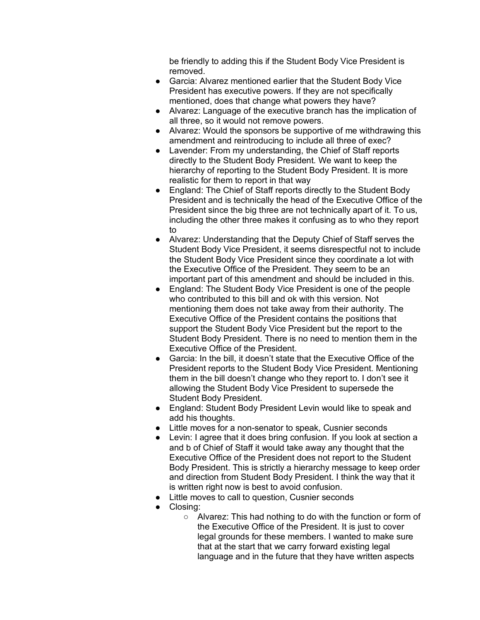be friendly to adding this if the Student Body Vice President is removed.

- Garcia: Alvarez mentioned earlier that the Student Body Vice President has executive powers. If they are not specifically mentioned, does that change what powers they have?
- Alvarez: Language of the executive branch has the implication of all three, so it would not remove powers.
- Alvarez: Would the sponsors be supportive of me withdrawing this amendment and reintroducing to include all three of exec?
- Lavender: From my understanding, the Chief of Staff reports directly to the Student Body President. We want to keep the hierarchy of reporting to the Student Body President. It is more realistic for them to report in that way
- England: The Chief of Staff reports directly to the Student Body President and is technically the head of the Executive Office of the President since the big three are not technically apart of it. To us, including the other three makes it confusing as to who they report to
- Alvarez: Understanding that the Deputy Chief of Staff serves the Student Body Vice President, it seems disrespectful not to include the Student Body Vice President since they coordinate a lot with the Executive Office of the President. They seem to be an important part of this amendment and should be included in this.
- England: The Student Body Vice President is one of the people who contributed to this bill and ok with this version. Not mentioning them does not take away from their authority. The Executive Office of the President contains the positions that support the Student Body Vice President but the report to the Student Body President. There is no need to mention them in the Executive Office of the President.
- Garcia: In the bill, it doesn't state that the Executive Office of the President reports to the Student Body Vice President. Mentioning them in the bill doesn't change who they report to. I don't see it allowing the Student Body Vice President to supersede the Student Body President.
- England: Student Body President Levin would like to speak and add his thoughts.
- Little moves for a non-senator to speak, Cusnier seconds
- Levin: I agree that it does bring confusion. If you look at section a and b of Chief of Staff it would take away any thought that the Executive Office of the President does not report to the Student Body President. This is strictly a hierarchy message to keep order and direction from Student Body President. I think the way that it is written right now is best to avoid confusion.
- Little moves to call to question, Cusnier seconds
- Closing:
	- Alvarez: This had nothing to do with the function or form of the Executive Office of the President. It is just to cover legal grounds for these members. I wanted to make sure that at the start that we carry forward existing legal language and in the future that they have written aspects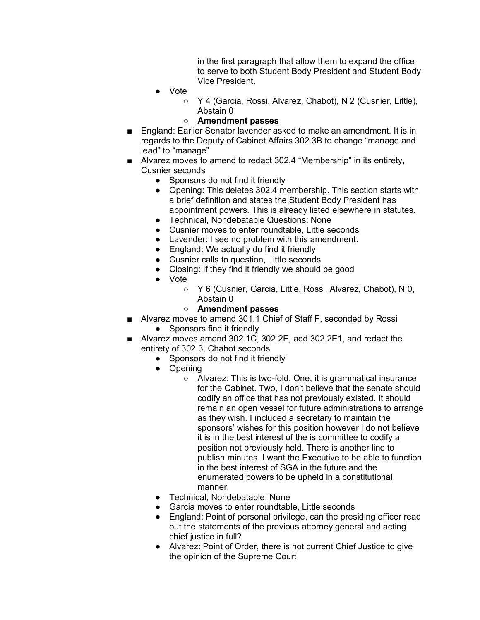in the first paragraph that allow them to expand the office to serve to both Student Body President and Student Body Vice President.

- **Vote** 
	- Y 4 (Garcia, Rossi, Alvarez, Chabot), N 2 (Cusnier, Little), Abstain 0
	- **Amendment passes**
- England: Earlier Senator lavender asked to make an amendment. It is in regards to the Deputy of Cabinet Affairs 302.3B to change "manage and lead" to "manage"
- Alvarez moves to amend to redact 302.4 "Membership" in its entirety, Cusnier seconds
	- Sponsors do not find it friendly
	- Opening: This deletes 302.4 membership. This section starts with a brief definition and states the Student Body President has appointment powers. This is already listed elsewhere in statutes.
	- Technical, Nondebatable Questions: None
	- Cusnier moves to enter roundtable, Little seconds
	- Lavender: I see no problem with this amendment.
	- England: We actually do find it friendly
	- Cusnier calls to question, Little seconds
	- Closing: If they find it friendly we should be good
	- Vote
		- Y 6 (Cusnier, Garcia, Little, Rossi, Alvarez, Chabot), N 0, Abstain 0

### ○ **Amendment passes**

- Alvarez moves to amend 301.1 Chief of Staff F, seconded by Rossi
	- Sponsors find it friendly
- Alvarez moves amend 302.1C, 302.2E, add 302.2E1, and redact the entirety of 302.3, Chabot seconds
	- Sponsors do not find it friendly
	- Opening
		- Alvarez: This is two-fold. One, it is grammatical insurance for the Cabinet. Two, I don't believe that the senate should codify an office that has not previously existed. It should remain an open vessel for future administrations to arrange as they wish. I included a secretary to maintain the sponsors' wishes for this position however I do not believe it is in the best interest of the is committee to codify a position not previously held. There is another line to publish minutes. I want the Executive to be able to function in the best interest of SGA in the future and the enumerated powers to be upheld in a constitutional manner.
	- Technical, Nondebatable: None
	- Garcia moves to enter roundtable, Little seconds
	- England: Point of personal privilege, can the presiding officer read out the statements of the previous attorney general and acting chief justice in full?
	- Alvarez: Point of Order, there is not current Chief Justice to give the opinion of the Supreme Court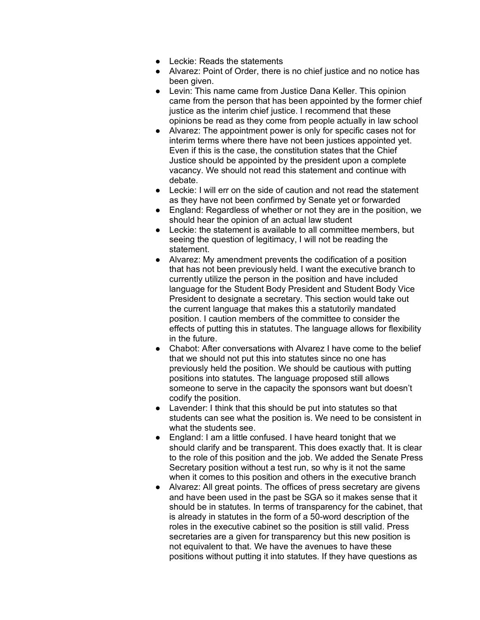- Leckie: Reads the statements
- Alvarez: Point of Order, there is no chief justice and no notice has been given.
- Levin: This name came from Justice Dana Keller. This opinion came from the person that has been appointed by the former chief justice as the interim chief justice. I recommend that these opinions be read as they come from people actually in law school
- Alvarez: The appointment power is only for specific cases not for interim terms where there have not been justices appointed yet. Even if this is the case, the constitution states that the Chief Justice should be appointed by the president upon a complete vacancy. We should not read this statement and continue with debate.
- Leckie: I will err on the side of caution and not read the statement as they have not been confirmed by Senate yet or forwarded
- England: Regardless of whether or not they are in the position, we should hear the opinion of an actual law student
- Leckie: the statement is available to all committee members, but seeing the question of legitimacy, I will not be reading the statement.
- Alvarez: My amendment prevents the codification of a position that has not been previously held. I want the executive branch to currently utilize the person in the position and have included language for the Student Body President and Student Body Vice President to designate a secretary. This section would take out the current language that makes this a statutorily mandated position. I caution members of the committee to consider the effects of putting this in statutes. The language allows for flexibility in the future.
- Chabot: After conversations with Alvarez I have come to the belief that we should not put this into statutes since no one has previously held the position. We should be cautious with putting positions into statutes. The language proposed still allows someone to serve in the capacity the sponsors want but doesn't codify the position.
- Lavender: I think that this should be put into statutes so that students can see what the position is. We need to be consistent in what the students see.
- England: I am a little confused. I have heard tonight that we should clarify and be transparent. This does exactly that. It is clear to the role of this position and the job. We added the Senate Press Secretary position without a test run, so why is it not the same when it comes to this position and others in the executive branch
- Alvarez: All great points. The offices of press secretary are givens and have been used in the past be SGA so it makes sense that it should be in statutes. In terms of transparency for the cabinet, that is already in statutes in the form of a 50-word description of the roles in the executive cabinet so the position is still valid. Press secretaries are a given for transparency but this new position is not equivalent to that. We have the avenues to have these positions without putting it into statutes. If they have questions as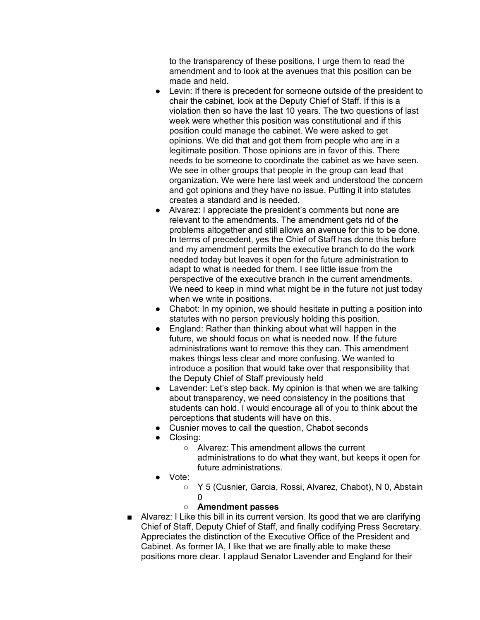to the transparency of these positions, I urge them to read the amendment and to look at the avenues that this position can be made and held.

- Levin: If there is precedent for someone outside of the president to chair the cabinet, look at the Deputy Chief of Staff. If this is a violation then so have the last 10 years. The two questions of last week were whether this position was constitutional and if this position could manage the cabinet. We were asked to get opinions. We did that and got them from people who are in a legitimate position. Those opinions are in favor of this. There needs to be someone to coordinate the cabinet as we have seen. We see in other groups that people in the group can lead that organization. We were here last week and understood the concern and got opinions and they have no issue. Putting it into statutes creates a standard and is needed.
- Alvarez: I appreciate the president's comments but none are relevant to the amendments. The amendment gets rid of the problems altogether and still allows an avenue for this to be done. In terms of precedent, yes the Chief of Staff has done this before and my amendment permits the executive branch to do the work needed today but leaves it open for the future administration to adapt to what is needed for them. I see little issue from the perspective of the executive branch in the current amendments. We need to keep in mind what might be in the future not just today when we write in positions.
- Chabot: In my opinion, we should hesitate in putting a position into statutes with no person previously holding this position.
- England: Rather than thinking about what will happen in the future, we should focus on what is needed now. If the future administrations want to remove this they can. This amendment makes things less clear and more confusing. We wanted to introduce a position that would take over that responsibility that the Deputy Chief of Staff previously held
- Lavender: Let's step back. My opinion is that when we are talking about transparency, we need consistency in the positions that students can hold. I would encourage all of you to think about the perceptions that students will have on this.
- Cusnier moves to call the question, Chabot seconds
- Closing:
	- Alvarez: This amendment allows the current administrations to do what they want, but keeps it open for future administrations.
- Vote:
	- Y 5 (Cusnier, Garcia, Rossi, Alvarez, Chabot), N 0, Abstain  $\Omega$
	- **Amendment passes**
- Alvarez: I Like this bill in its current version. Its good that we are clarifying Chief of Staff, Deputy Chief of Staff, and finally codifying Press Secretary. Appreciates the distinction of the Executive Office of the President and Cabinet. As former IA, I like that we are finally able to make these positions more clear. I applaud Senator Lavender and England for their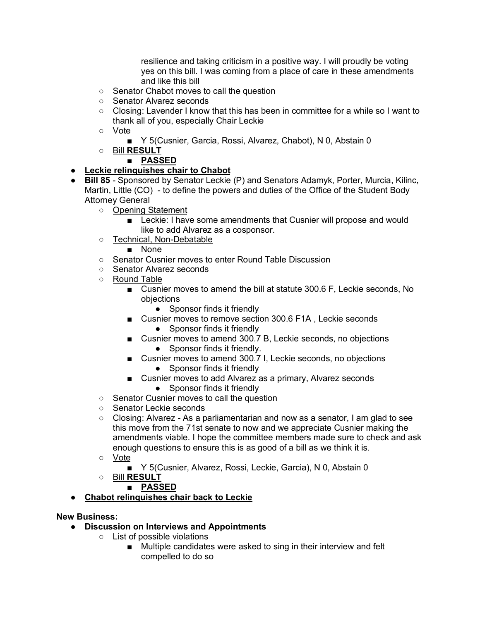resilience and taking criticism in a positive way. I will proudly be voting yes on this bill. I was coming from a place of care in these amendments and like this bill

- Senator Chabot moves to call the question
- Senator Alvarez seconds
- Closing: Lavender I know that this has been in committee for a while so I want to thank all of you, especially Chair Leckie
- Vote
	- Y 5(Cusnier, Garcia, Rossi, Alvarez, Chabot), N 0, Abstain 0
- Bill **RESULT**

# ■ **PASSED**

- **Leckie relinquishes chair to Chabot**
- **Bill 85** Sponsored by Senator Leckie (P) and Senators Adamyk, Porter, Murcia, Kilinc, Martin, Little (CO) - to define the powers and duties of the Office of the Student Body Attorney General
	- Opening Statement
		- Leckie: I have some amendments that Cusnier will propose and would like to add Alvarez as a cosponsor.
	- Technical, Non-Debatable
		- None
	- Senator Cusnier moves to enter Round Table Discussion
	- Senator Alvarez seconds
	- Round Table
		- Cusnier moves to amend the bill at statute 300.6 F, Leckie seconds, No objections
			- Sponsor finds it friendly
		- Cusnier moves to remove section 300.6 F1A, Leckie seconds
			- Sponsor finds it friendly
		- Cusnier moves to amend 300.7 B, Leckie seconds, no objections ● Sponsor finds it friendly.
		- Cusnier moves to amend 300.7 I, Leckie seconds, no objections • Sponsor finds it friendly
		- Cusnier moves to add Alvarez as a primary, Alvarez seconds
			- Sponsor finds it friendly
	- Senator Cusnier moves to call the question
	- Senator Leckie seconds
	- $\circ$  Closing: Alvarez As a parliamentarian and now as a senator, I am glad to see this move from the 71st senate to now and we appreciate Cusnier making the amendments viable. I hope the committee members made sure to check and ask enough questions to ensure this is as good of a bill as we think it is.
	- Vote
		- Y 5(Cusnier, Alvarez, Rossi, Leckie, Garcia), N 0, Abstain 0
	- Bill **RESULT**
		- **PASSED**
- **Chabot relinquishes chair back to Leckie**

### **New Business:**

- **Discussion on Interviews and Appointments**
	- List of possible violations
		- Multiple candidates were asked to sing in their interview and felt compelled to do so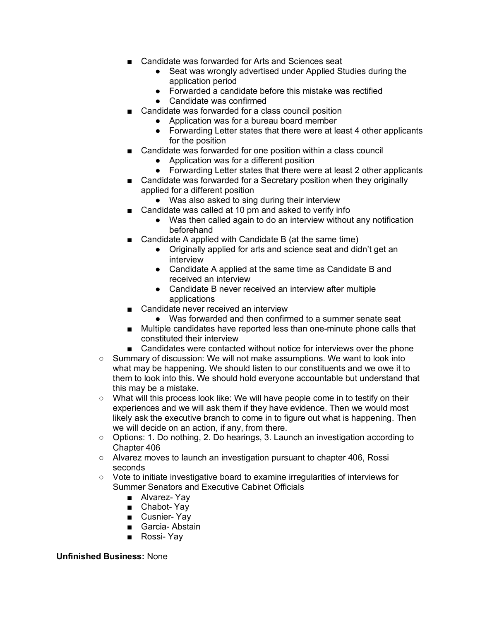- Candidate was forwarded for Arts and Sciences seat
	- Seat was wrongly advertised under Applied Studies during the application period
	- Forwarded a candidate before this mistake was rectified
	- Candidate was confirmed
- Candidate was forwarded for a class council position
	- Application was for a bureau board member
	- Forwarding Letter states that there were at least 4 other applicants for the position
- Candidate was forwarded for one position within a class council
	- Application was for a different position
	- Forwarding Letter states that there were at least 2 other applicants
- Candidate was forwarded for a Secretary position when they originally applied for a different position
	- Was also asked to sing during their interview
- Candidate was called at 10 pm and asked to verify info
	- Was then called again to do an interview without any notification beforehand
- Candidate A applied with Candidate B (at the same time)
	- Originally applied for arts and science seat and didn't get an interview
	- Candidate A applied at the same time as Candidate B and received an interview
	- Candidate B never received an interview after multiple applications
- Candidate never received an interview
	- Was forwarded and then confirmed to a summer senate seat
- Multiple candidates have reported less than one-minute phone calls that constituted their interview
- Candidates were contacted without notice for interviews over the phone
- Summary of discussion: We will not make assumptions. We want to look into what may be happening. We should listen to our constituents and we owe it to them to look into this. We should hold everyone accountable but understand that this may be a mistake.
- What will this process look like: We will have people come in to testify on their experiences and we will ask them if they have evidence. Then we would most likely ask the executive branch to come in to figure out what is happening. Then we will decide on an action, if any, from there.
- Options: 1. Do nothing, 2. Do hearings, 3. Launch an investigation according to Chapter 406
- Alvarez moves to launch an investigation pursuant to chapter 406, Rossi seconds
- Vote to initiate investigative board to examine irregularities of interviews for Summer Senators and Executive Cabinet Officials
	- Alvarez- Yav
	- Chabot- Yay
	- Cusnier- Yay
	- Garcia- Abstain
	- Rossi- Yav

#### **Unfinished Business:** None